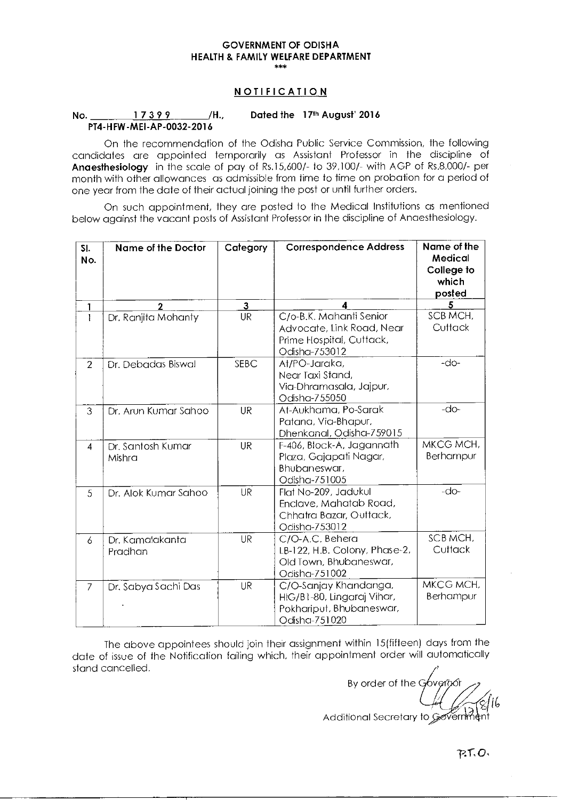### NOTIFICATION

#### No. 17399 /H., Dated the 17th August' 2016 PT4-HFW-MEI-AP-0032-2016

On the recommendation of the Odisha Public Service Commission, the following candidates are appointed temporarily as Assistant Professor in the discipline of Anaesthesiology in the scale of pay of Rs.15,600/- to 39,100/- with AGP of Rs.8,000/- per month with other allowances as admissible from time to time on probation for a period of one year from the date of their actual joining the post or until further orders.

On such appointment, they are posted to the Medical Institutions as mentioned below against the vacant posts of Assistant Professor in the discipline of Anaesthesiology.

| SI.<br>No.     | <b>Name of the Doctor</b>   | Category                | <b>Correspondence Address</b>                                                                     | Name of the<br>Medical<br>College to<br>which<br>posted |
|----------------|-----------------------------|-------------------------|---------------------------------------------------------------------------------------------------|---------------------------------------------------------|
| 1              |                             | $\overline{\mathbf{3}}$ | 4                                                                                                 | 5                                                       |
| 1              | Dr. Ranjita Mohanty         | <b>UR</b>               | C/o-B.K. Mahanti Senior<br>Advocate, Link Road, Near<br>Prime Hospital, Cuttack,<br>Odisha-753012 | SCB MCH,<br>Cuttack                                     |
| $\overline{2}$ | Dr. Debadas Biswal          | <b>SEBC</b>             | At/PO-Jaraka,<br>Near Taxi Stand,<br>Via-Dhramasala, Jajpur,<br>Odisha-755050                     | $-do-$                                                  |
| 3              | Dr. Arun Kumar Sahoo        | UR.                     | At-Aukhama, Po-Sarak<br>Patana, Via-Bhapur,<br>Dhenkanal, Odisha-759015                           | $-do-$                                                  |
| 4              | Dr. Santosh Kumar<br>Mishra | <b>UR</b>               | F-406, Block-A, Jagannath<br>Plaza, Gajapati Nagar,<br>Bhubaneswar,<br>Odisha-751005              | MKCG MCH,<br>Berhampur                                  |
| 5              | Dr. Alok Kumar Sahoo        | <b>UR</b>               | Flat No-209, Jadukul<br>Enclave, Mahatab Road,<br>Chhatra Bazar, Outtack,<br>Odisha-753012        | $-$ do $-$                                              |
| 6              | Dr. Kamalakanta<br>Pradhan  | <b>UR</b>               | C/O-A.C. Behera<br>LB-122, H.B. Colony, Phase-2,<br>Old Town, Bhubaneswar,<br>Odisha-751002       | SCB MCH,<br>Cuttack                                     |
| $\overline{7}$ | Dr. Sabya Sachi Das         | <b>UR</b>               | C/O-Sanjay Khandanga,<br>HIG/B1-80, Lingaraj Vihar,<br>Pokhariput, Bhubaneswar,<br>Odisha-751020  | MKCG MCH.<br>Berhampur                                  |

The above appointees should join their assignment within 15(fifteen) days from the date of issue of the Notification failing which, their appointment order will automatically stand cancelled.

By order of the Governor 014

Additional Secretary to Go ernMent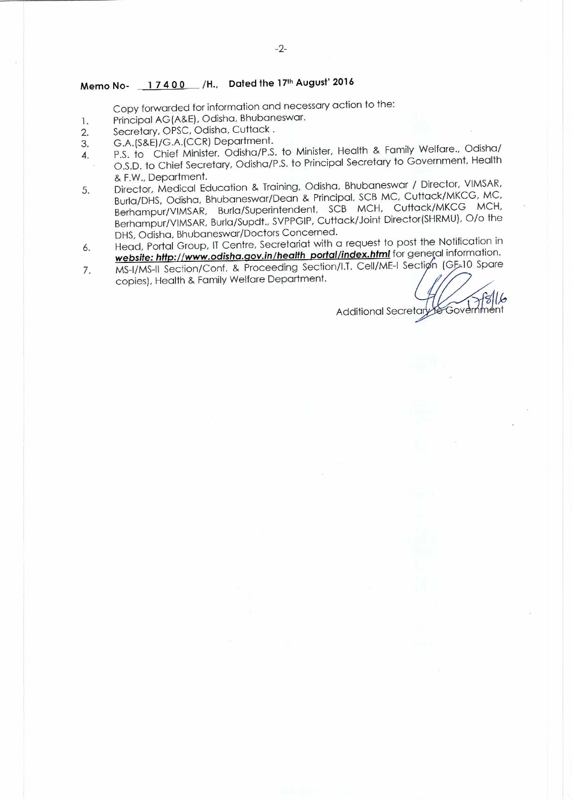# **Memo No- 1 7 4 0 0 /H., Dated the 17th August' 2016**

Copy forwarded for information and necessary action to the:

- 1. Principal AG(A&E), Odisha, Bhubaneswar.<br>2. Secretary, OPSC, Odisha, Cuttack.
- 2. Secretary, OPSC, Odisha, Cuttack.<br>3. G.A.(S&E)/G.A.(CCR) Department.
- 3. G.A.(S&E)/G.A.(CCR) Department.
- 4. P.S. to Chief Minister, Odisha/P.S. to Minister, Health & Family Welfare., Odisha/
- O.S.D. to Chief Secretary, Odisha/P.S. to Principal Secretary to Government, Health & F.W., Department.
- 5. Director, Medical Education & Training, Odisha, Bhubaneswar / Director, VIMSAR, Burla/DHS, Odisha, Bhubaneswar/Dean & Principal, SCB MC, Cuttack/MKCG, MC, Berhampur/VIMSAR, Burla/Superintendent, SCB MCH, Cuttack/MKCG MCH, Berhampur/VIMSAR, Burla/Supdt., SVPPGIP, Cuttack/Joint Director(SHRMU), 0/o the DHS, Odisha, Bhubaneswar/Doctors Concerned.
- 6. Head, Portal Group, IT Centre, Secretariat with a request to post the Notification in website: http://www.odisha.gov.in/health portal/index.html for general information.
- 7. MS-I/MS-II Section/Conf. & Proceeding Section/I.T. Cell/ME-I Section (GF-10 Spare copies), Health & Family Welfare Department.

Additional Secretary to Government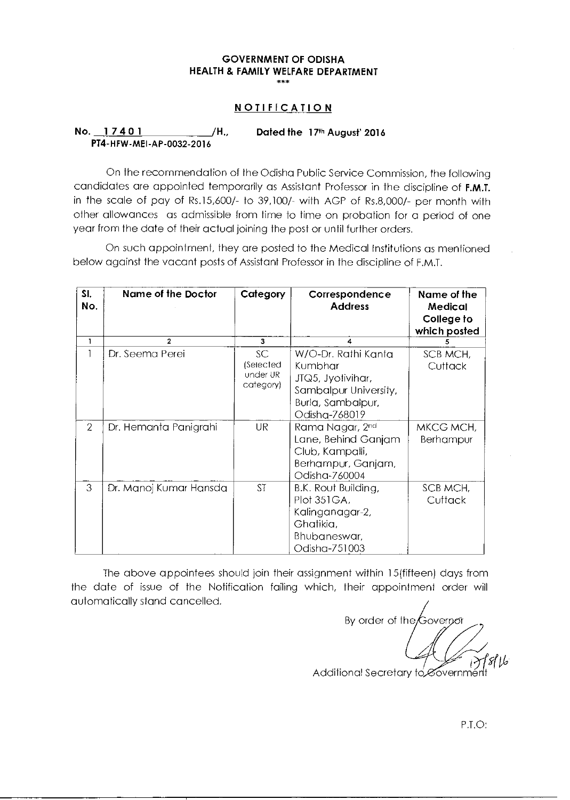#### **NOTIFICATION**

# **No. 17401 /H. Dated the** 17th August' 2016

### PT4-HFW-mEi-AP-0032-2016

On the recommendation of the Odisha Public Service Commission, the following candidates are appointed temporarily as Assistant Professor in the discipline of **F.M.T.**  in the scale of pay of Rs.15,600/- to 39,100/- with AGP of Rs.8,000/- per month with other allowances as admissible from time to time on probation for a period of one year from the date of their actual joining the post or until further orders.

On such appointment, they are posted to the Medical Institutions as mentioned below against the vacant posts of Assistant Professor in the discipline of F.M.T.

| SI.<br>No.   | <b>Name of the Doctor</b> | Category                                  | Correspondence<br><b>Address</b>                                                                                   | Name of the<br>Medical<br>College to<br>which posted |
|--------------|---------------------------|-------------------------------------------|--------------------------------------------------------------------------------------------------------------------|------------------------------------------------------|
| $\mathbf{1}$ | $\overline{2}$            | 3                                         | 4                                                                                                                  |                                                      |
|              | Dr. Seema Perei           | SC.<br>(Selected<br>under UR<br>category) | W/O-Dr. Rathi Kanta<br>Kumbhar<br>JTQ5, Jyotivihar,<br>Sambalpur University,<br>Burla, Sambalpur,<br>Odisha-768019 | SCB MCH,<br>Cuttack                                  |
| 2            | Dr. Hemanta Panigrahi     | UR                                        | Rama Nagar, 2 <sup>nd</sup><br>Lane, Behind Ganjam<br>Club, Kampalli,<br>Berhampur, Ganjam,<br>Odisha-760004       | MKCG MCH,<br>Berhampur                               |
| 3            | Dr. Manoj Kumar Hansda    | <b>ST</b>                                 | B.K. Rout Building,<br><b>Plot 351GA</b><br>Kalinganagar-2,<br>Ghatikia,<br>Bhubaneswar,<br>Odisha-751003          | SCB MCH,<br>Cuttack                                  |

The above appointees should join their assignment within 15(fifteen) days from the date of issue of the Notification failing which, their appointment order will automatically stand cancelled.

By order of the Governor Additional Secretary to Covernment

P.T.0: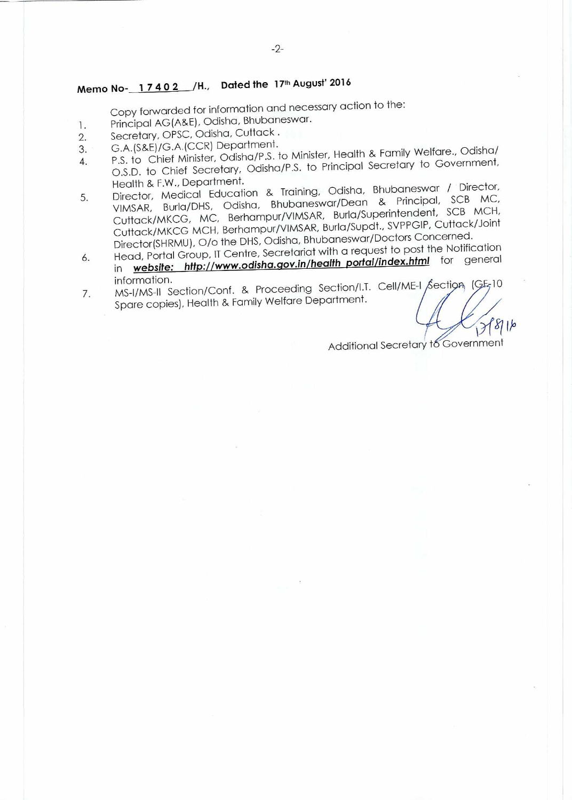# **Memo No- 1 7 4 0 2 /H., Dated** the 17th **August' 2016**

Copy forwarded for information and necessary action to the:

- 1. Principal AG(A&E), Odisha, Bhubaneswar.
- 2. Secretary, OPSC, Odisha, Cuttack.<br>3. G.A.(S&E)/G.A.(CCR) Department.
- 3. G.A.(S&E)/G.A.(CCR) Department.
- 4. P.S. to Chief Minister, Odisha/P.S. to Minister, Health & Family Welfare., Odisha/
- O.S.D. to Chief Secretary, Odisha/P.S. to Principal Secretary to Government, Health & F.W., Department.
- 5. Director, Medical Education & Training, Odisha, Bhubaneswar / Director, VIMSAR, Burla/DHS, Odisha, Bhubaneswar/Dean & Principal, SCB MC, Cuttack/MKCG, MC, Berhampur/VIMSAR, Burla/Superintendent, SCB MCH, Cuttack/MKCG MCH, Berhampur/VIMSAR, Burla/Supdt., SVPPGIP, Cuttack/Joint Director(SHRMU), 0/o the DHS, Odisha, Bhubaneswar/Doctors Concerned.
- 6. Head, Portal Group, IT Centre, Secretariat with a request to post the Notification in **website: http://www.odisha.gov.in/health portal/index.html** for general information. information.
- miormanon.<br>7. MS-I/MS-II Section/Conf. & Proceeding Section/I.T. Cell/ME-I Section (GE-10) Spare copies), Health & Family Welfare Department.

 $8116$ 

Additional Secretary to Government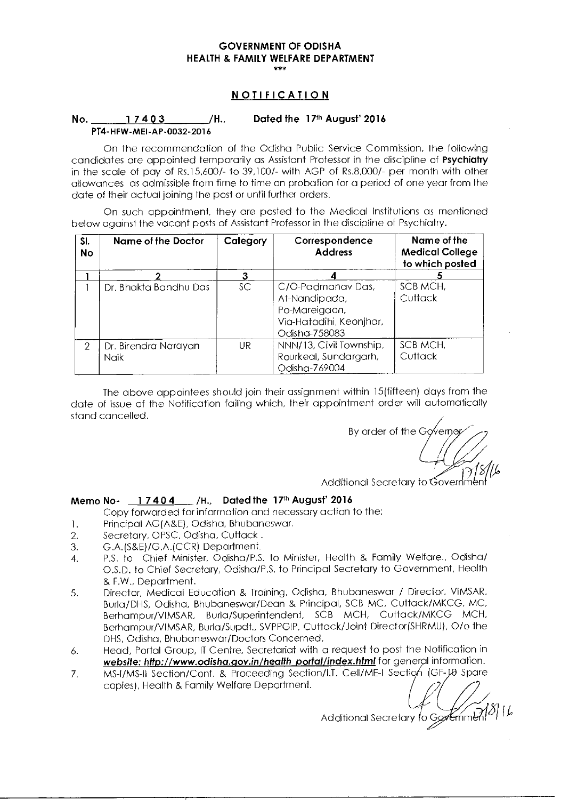### **NOTIFICATION**

#### **No. 1 7 4 0 3 /H., Dated the 17th August' 2016**  PT4-HFW-MEI-AP-0032-2016

On the recommendation of the Odisha Public Service Commission, the following candidates are appointed temporarily as Assistant Professor in the discipline of Psychiatry in the scale of pay of Rs.15,600/- to 39,100/- with AGP of Rs.8,000/- per month with other allowances as admissible from time to time on probation for a period of one year from the date of their actual joining the post or until further orders.

On such appointment, they are posted to the Medical Institutions as mentioned below against the vacant posts of Assistant Professor in the discipline of Psychiatry.

| SI.<br>No | <b>Name of the Doctor</b>    | Category | Correspondence<br><b>Address</b>                                                                | Name of the<br><b>Medical College</b><br>to which posted |
|-----------|------------------------------|----------|-------------------------------------------------------------------------------------------------|----------------------------------------------------------|
|           |                              |          |                                                                                                 |                                                          |
|           | Dr. Bhakta Bandhu Das        | SC.      | C/O-Padmanav Das,<br>At-Nandipada,<br>Po-Mareigaon,<br>Via-Hatadihi, Keonjhar,<br>Odisha-758083 | SCB MCH,<br>Cuttack                                      |
| 2         | Dr. Birendra Narayan<br>Naik | UR       | NNN/13, Civil Township,<br>Rourkeal, Sundargarh,<br>Odisha-769004                               | SCB MCH,<br>Cuttack                                      |

The above appointees should join their assignment within 15(fifteen) days from the date of issue of the Notification failing which, their appointment order will automatically stand cancelled.

By order of the Governor Additional Secretary to Government

#### Memo No- 1 7 4 0 4 /H., Dated the 17th August' 2016

- Copy forwarded for information and necessary action to the:
- 1. Principal AG (A&E), Odisha, Bhubaneswar.
- 2. Secretary, OPSC, Odisha, Cuttack.
- 3. G.A.(S&E)/G.A.(CCR) Department.
- 4. P.S. to Chief Minister, Odisha/P.S. to Minister, Health & Family Welfare., Odisha/ O.S.D. to Chief Secretary, Odisha/P.S. to Principal Secretary to Government, Health & F.W., Department.
- 5. Director, Medical Education & Training, Odisha, Bhubaneswar / Director, VIMSAR, Burla/DHS, Odisha, Bhubaneswar/Dean & Principal, SCB MC, Cuttack/MKCG, MC, Berhampur/VIMSAR, Burla/Superintendent, SCB MCH, Cuttack/MKCG MCH, Berhampur/VIMSAR, Burla/Supdt., SVPPGIP, Cuttack/Joint Director(SHRMU), 0/o the DHS, Odisha, Bhubaneswar/Doctors Concerned.
- 6. Head, Portal Group, IT Centre, Secretariat with a request to post the Notification in website: http://www.odisha.gov.in/health\_portal/index.html for general information.
- 7. MS-1/MS-II Section/Conf. & Proceeding Section/I.T. Cell/ME-I Section (GF-)0 Spare copies), Health & Family Welfare Department.

Additional Secretary to Government 8/18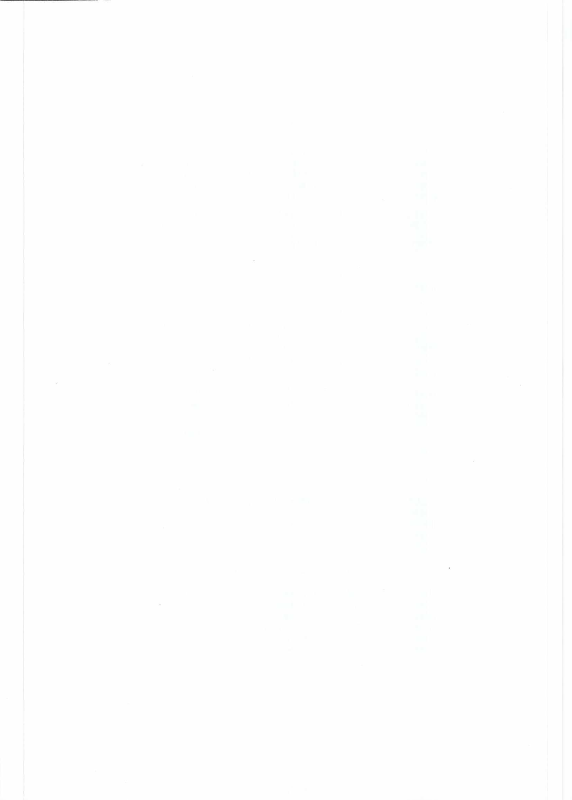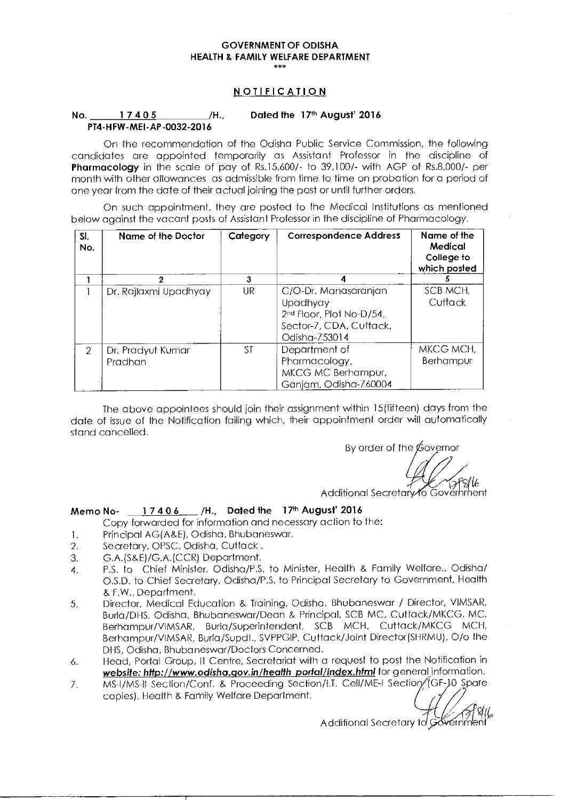#### NOTIFICATION

### No. 17405 /H., Dated the 17th August' 2016 PT4- H FW-MEI-AP-0032-2016

On the recommendation of the Odisha Public Service Commission, the following candidates are appointed temporarily as Assistant Professor in the discipline of Pharmacology in the scale of pay of Rs.15,600/- to 39,100/- with AGP of Rs.8,000/- per month with other allowances as admissible from time to time on probation for a period of one year from the date of their actual joining the post or until further orders.

On such appointment, they are posted to the Medical Institutions as mentioned below against the vacant posts of Assistant Professor in the discipline of Pharmacology.

| SI.<br>No.    | Name of the Doctor           | Category  | <b>Correspondence Address</b>                                                                            | Name of the<br>Medical<br>College to<br>which posted |
|---------------|------------------------------|-----------|----------------------------------------------------------------------------------------------------------|------------------------------------------------------|
|               | 2                            | 3         |                                                                                                          |                                                      |
|               | Dr. Rajlaxmi Upadhyay        | UR.       | C/O-Dr. Manasaranjan<br>Upadhyay<br>2nd Floor, Plot No-D/54,<br>Sector-7, CDA, Cuttack,<br>Odisha-753014 | SCB MCH,<br>Cuttack                                  |
| $\mathcal{P}$ | Dr. Pradyut Kumar<br>Pradhan | <b>ST</b> | Department of<br>Pharmacology,<br>MKCG MC Berhampur,<br>Ganjam, Odisha-760004                            | MKCG MCH,<br>Berhampur                               |

The above appointees should join their assignment within 15(fifteen) days from the date of issue of the Notification failing which, their appointment order will automatically stand cancelled.

By order of the  $\&$  overnor

Additional Secretary to Government

## Memo No-  $17406$  /H., Dated the 17th August' 2016

Copy forwarded for information and necessary action to the:

- 1. Principal AG (A&E), Odisha, Bhubaneswar.
- 2. Secretary, OPSC, Odisha, Cuttack .
- 3. G.A.(S&E)/G.A.(CCR) Department.
- 4. P.S. to Chief Minister, Odisha/P.S. to Minister, Health & Family Welfare., Odisha/ O.S.D. to Chief Secretary, Odisha/P.S. to Principal Secretary to Government, Health & F.W., Department.
- 5. Director, Medical Education & Training, Odisha, Bhubaneswar / Director, VIMSAR, Burla/DHS, Odisha, Bhubaneswar/Dean & Principal, SCB MC, Cuttack/MKCG, MC, Berhampur/VIMSAR, Burla/Superintendent, SCB MCH, Cuttack/MKCG MCH, Berhampur/VIMSAR, Burla/Supdt., SVPPGIP, Cuttack/Joint Director(SHRMU), 0/o the DHS, Odisha, Bhubaneswar/Doctors Concerned.
- 6. Head, Portal Group, IT Centre, Secretariat with a request to post the Notification in website: http://www.odisha.gov.in/health portal/index.html for general information.
- 7. MS-I/MS-II Section/Conf. & Proceeding Section/I.T. Cell/ME-I Section/(GF-J0 Spare copies), Health & Family Welfare Department.

Additional Secretary to Govern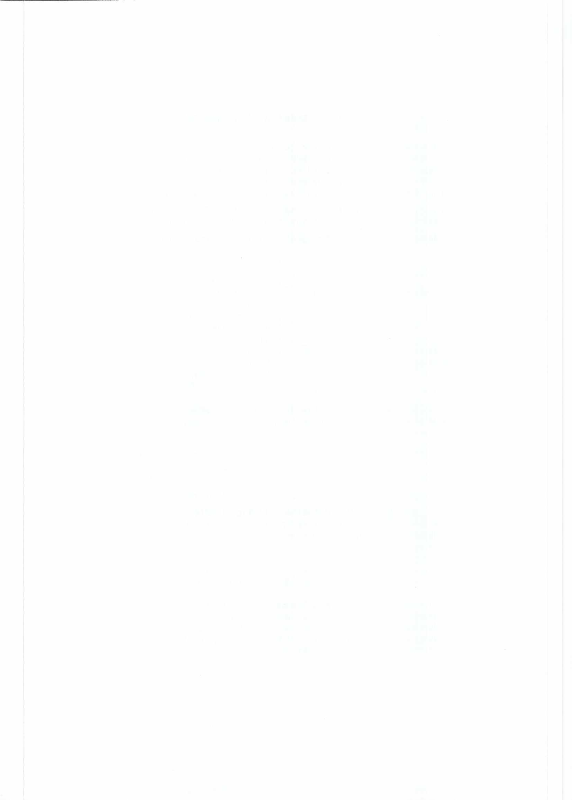| The Control of               | A Falled                                                                                                                                          |               | $\mathbb{R}^+$                                                                                                                                                                                                                                                                                                                     |
|------------------------------|---------------------------------------------------------------------------------------------------------------------------------------------------|---------------|------------------------------------------------------------------------------------------------------------------------------------------------------------------------------------------------------------------------------------------------------------------------------------------------------------------------------------|
|                              | 20 Million<br>केन <sub>स</sub><br>and the<br><b>Allen Art</b><br>a Alban                                                                          |               | - 140<br><b>AD</b><br>W.<br>$\mathbf{E}_{\mathrm{eff}}$                                                                                                                                                                                                                                                                            |
|                              | 945.00<br>t Gen                                                                                                                                   |               | Ŕ.<br>þа                                                                                                                                                                                                                                                                                                                           |
|                              | the co<br>$\sim$ 10                                                                                                                               |               |                                                                                                                                                                                                                                                                                                                                    |
| $\bar{\Sigma}$               |                                                                                                                                                   |               | e plis                                                                                                                                                                                                                                                                                                                             |
|                              | The Control                                                                                                                                       | $\mathcal{C}$ | P<br>a).                                                                                                                                                                                                                                                                                                                           |
| al C<br>ă.                   |                                                                                                                                                   |               | IV I<br>$\mathcal{L}_{\text{max}}$                                                                                                                                                                                                                                                                                                 |
| o m                          | all and the<br>per control                                                                                                                        | ٠             | dj.<br>n m                                                                                                                                                                                                                                                                                                                         |
|                              |                                                                                                                                                   |               | $\mathcal{L} = \begin{bmatrix} 1 & 0 & 0 \\ 0 & 1 & 0 \\ 0 & 0 & 0 \\ 0 & 0 & 0 \\ 0 & 0 & 0 \\ 0 & 0 & 0 \\ 0 & 0 & 0 & 0 \\ 0 & 0 & 0 & 0 \\ 0 & 0 & 0 & 0 \\ 0 & 0 & 0 & 0 & 0 \\ 0 & 0 & 0 & 0 & 0 \\ 0 & 0 & 0 & 0 & 0 \\ 0 & 0 & 0 & 0 & 0 & 0 \\ 0 & 0 & 0 & 0 & 0 & 0 \\ 0 & 0 & 0 & 0 & 0 & 0 & 0 \\ 0 & 0 & 0 & 0 & 0 &$ |
| MADE CONTRACTOR AND ARRESTS. | <b>Carlos</b><br>96 F                                                                                                                             |               |                                                                                                                                                                                                                                                                                                                                    |
| $\sim 10-10$                 | $\mathcal{L}$<br>Œ<br>$\overline{1}$                                                                                                              |               | P)<br>$\frac{1}{2}$                                                                                                                                                                                                                                                                                                                |
|                              | na militar s<br>and the<br>$\begin{array}{ccc} \text{I} & \text{I} & \text{I} \end{array}$<br>$\mathbb{R}^{n \times n}$ .<br>$\mathbb{R}^n$ , and |               | <b>CONTRACT</b><br>Ja<br>193                                                                                                                                                                                                                                                                                                       |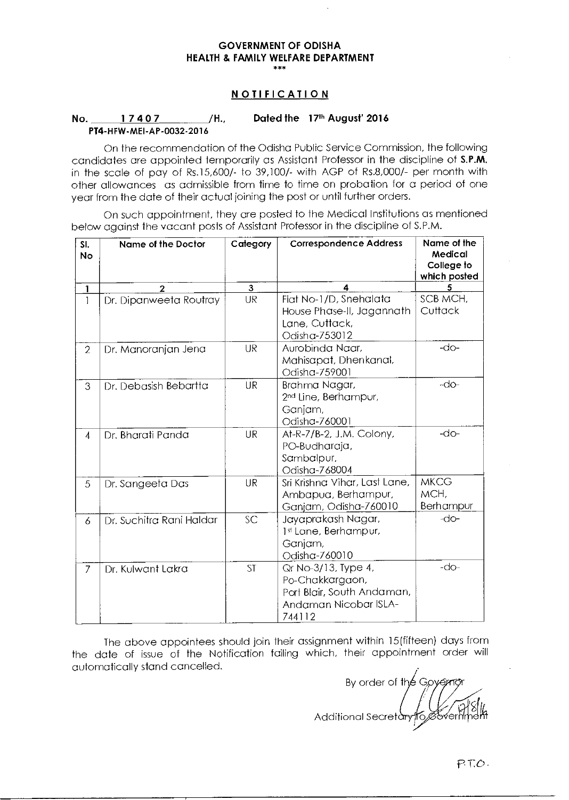#### **NOTIFICATION**

## **No. 1 7 4 0 7 /H., Dated the 17th August' 2016**

#### PT4-HFW-MEI-AP-0032-2016

On the recommendation of the Odisha Public Service Commission, the following candidates are appointed temporarily as Assistant Professor in the discipline of **S.P.M.**  in the scale of pay of Rs.15,600/- to 39,100/- with AGP of Rs.8,000/- per month with other allowances as admissible from time to time on probation for a period of one year from the date of their actual joining the post or until further orders.

On such appointment, they are posted to the Medical Institutions as mentioned below against the vacant posts of Assistant Professor in the discipline of S.P.M.

| SI.<br><b>No</b> | <b>Name of the Doctor</b> | Category  | <b>Correspondence Address</b>                                                                           | Name of the<br>Medical<br>College to<br>which posted |
|------------------|---------------------------|-----------|---------------------------------------------------------------------------------------------------------|------------------------------------------------------|
| 1                | $\mathbf{2}$              | 3         | 4                                                                                                       |                                                      |
| 1                | Dr. Dipanweeta Routray    | <b>UR</b> | Flat No-1/D, Snehalata<br>House Phase-II, Jagannath<br>Lane, Cuttack,<br>Odisha-753012                  | SCB MCH.<br>Cuttack                                  |
| $\overline{2}$   | Dr. Manoranjan Jena       | <b>UR</b> | Aurobinda Naar,<br>Mahisapat, Dhenkanal,<br>Odisha-759001                                               | $-do-$                                               |
| 3                | Dr. Debasish Bebartta     | <b>UR</b> | Brahma Nagar,<br>2 <sup>nd</sup> Line, Berhampur,<br>Ganjam,<br>Odisha-760001                           | $-dO-$                                               |
| 4                | Dr. Bharati Panda         | <b>UR</b> | At-R-7/B-2, J.M. Colony,<br>PO-Budharaja,<br>Sambalpur,<br>Odisha-768004                                | $-do-$                                               |
| 5                | Dr. Sangeeta Das          | <b>UR</b> | Sri Krishna Vihar, Last Lane,<br>Ambapua, Berhampur,<br>Ganjam, Odisha-760010                           | <b>MKCG</b><br>MCH,<br>Berhampur                     |
| 6                | Dr. Suchitra Rani Haldar  | SC        | Jayaprakash Nagar,<br>1st Lane, Berhampur,<br>Ganjam,<br>Odisha-760010                                  | -do-                                                 |
| $\overline{7}$   | Dr. Kulwant Lakra         | <b>ST</b> | Qr No-3/13, Type 4,<br>Po-Chakkargaon,<br>Port Blair, South Andaman,<br>Andaman Nicobar ISLA-<br>744112 | $-do-$                                               |

The above appointees should join their assignment within 15 (fifteen) days from the date of issue of the Notification failing which, their appointment order will automatically stand cancelled.

By order of the Additional Secretar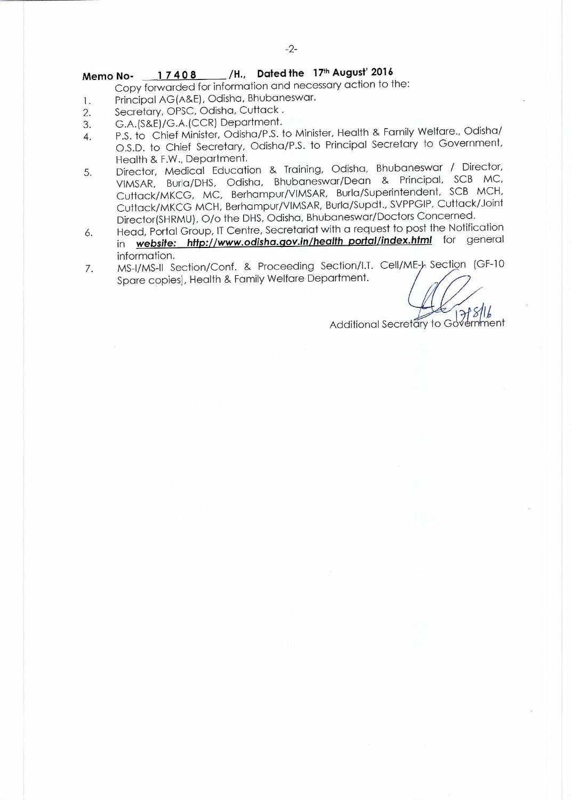# **Memo No- 1 7 4 0 8 /H., Dated the 17th August' 2016**

Copy forwarded for information and necessary action to the:

- 1. Principal AG(A&E), Odisha, Bhubaneswar.
- 2. Secretary, OPSC, Odisha, Cuffack .
- 3. G.A.(S&E)/G.A.(CCR) Department.
- 4. P.S. to Chief Minister, Odisha/P.S. to Minister, Health & Family Welfare., Odisha/ O.S.D. to Chief Secretary, Odisha/P.S. to Principal Secretary to Government, Health & F.W., Department.
- 5. Director, Medical Education & Training, Odisha, Bhubaneswar / Director, VIMSAR, Burla/DHS, Odisha, Bhubaneswar/Dean & Principal, SCB MC, Cuttack/MKCG, MC, Berhampur/VIMSAR, Burla/Superintendent, SCB MCH, Cuttack/MKCG MCH, Berhampur/VIMSAR, Burla/Supdt., SVPPGIP, Cuttack/Joint Director(SHRMU), 0/o the DHS, Odisha, Bhubaneswar/Doctors Concerned.
- 6. Head, Portal Group, IT Centre, Secretariat with a request to post the Notification in **website: http://www.odisha.gov.in/health portal/index.html** for general information.
- 7. MS-I/MS-II Section/Conf. & Proceeding Section/I.T. Cell/ME-h Section (GF-10 Spare copies), Health & Family Welfare Department.

Additional Secretary to Government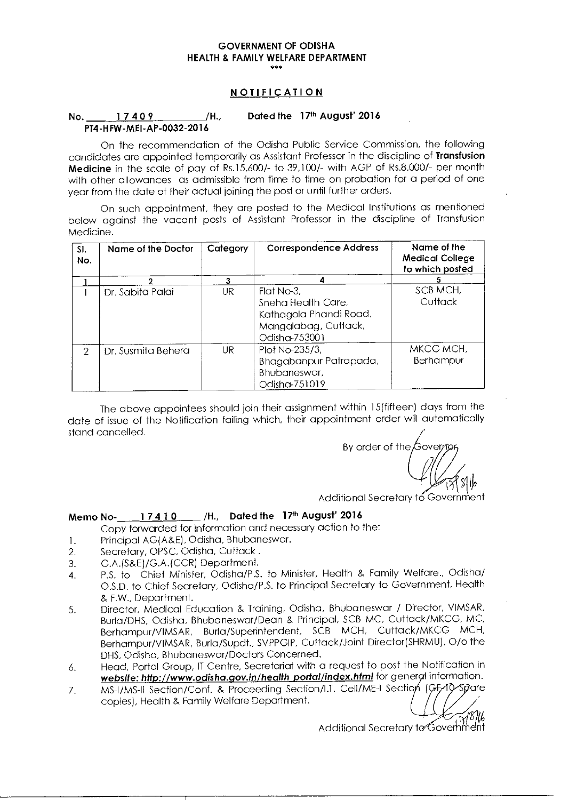#### NOTIFICATION

#### No. 17409 /H., Dated the 17th August' 2016 PT4-HFW-MEI-AP-0032-2016

On the recommendation of the Odisha Public Service Commission, the following candidates are appointed temporarily as Assistant Professor in the discipline of Transfusion Medicine in the scale of pay of Rs.15,600/- to 39,100/- with AGP of Rs.8,000/- per month with other allowances as admissible from time to time on probation for a period of one year from the date of their actual joining the post or until further orders.

On such appointment, they are posted to the Medical Institutions as mentioned below against the vacant posts of Assistant Professor in the discipline of Transfusion Medicine.

| SI.<br>No. | Name of the Doctor | Category | <b>Correspondence Address</b>                                                                       | Name of the<br><b>Medical College</b><br>to which posted |
|------------|--------------------|----------|-----------------------------------------------------------------------------------------------------|----------------------------------------------------------|
|            | 2                  | 3.       | д                                                                                                   | Ċ.                                                       |
|            | Dr. Sabita Palai   | UR       | Flat No-3,<br>Sneha Health Care.<br>Kathagola Phandi Road,<br>Mangalabag, Cuttack,<br>Odisha-753001 | SCB MCH,<br>Cuttack                                      |
| 2          | Dr. Susmita Behera | UR.      | Plot No-235/3,<br>Bhagabanpur Patrapada,<br>Bhubaneswar,<br>Odisha-751019                           | MKCG MCH,<br>Berhampur                                   |

The above appointees should join their assignment within 15(fifteen) days from the date of issue of the Notification failing which, their appointment order will automatically stand cancelled.

By order of the Governor  $8|16|$ 

Additional Secretary to Government

## Memo No- 17410 /H., Dated the 17th August' 2016

- Copy forwarded for information and necessary action to the:
- 1. Principal AG(A&E), Odisha, Bhubaneswar.
- 2. Secretary, OPSC, Odisha, Cuttack .
- 3. G.A.(S&E)/G.A.(CCR) Department.
- 4. P.S. to Chief Minister, Odisha/P.S. to Minister, Health & Family Welfare., Odisha/ O.S.D. to Chief Secretary, Odisha/P.S. to Principal Secretary to Government, Health & F.W., Department.
- 5. Director, Medical Education & Training, Odisha, Bhubaneswar / Director, VIMSAR, Burla/DHS, Odisha, Bhubaneswar/Dean & Principal, SCB MC, Cuttack/MKCG, MC, Berhampur/VIMSAR, Burla/Superintendent, SCB MCH, Cuttack/MKCG MCH, Berhampur/VIMSAR, Burla/Supdt., SVPPGIP, Cuttack/Joint Director(SHRMU), 0/o the DHS, Odisha, Bhubaneswar/Doctors Concerned.
- 6. Head, Portal Group, IT Centre, Secretariat with a request to post the Notification in website: http://www.odisha.gov.in/health\_portal/index.html for general information.
- 7. MS-I/MS-II Section/Conf. & Proceeding Section/I.T. Cell/ME-I Section (GF/TO-Spare copies), Health & Family Welfare Department.

)<br>| Additional Secretary to Government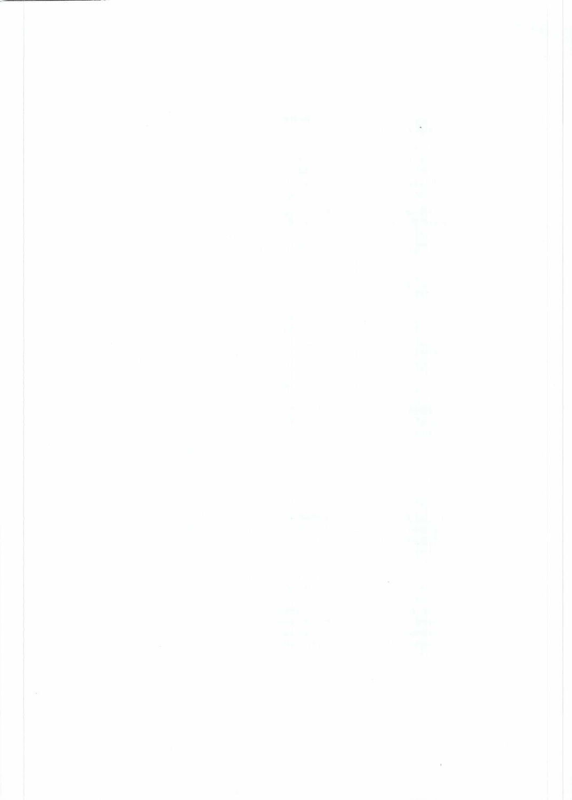

 $\epsilon$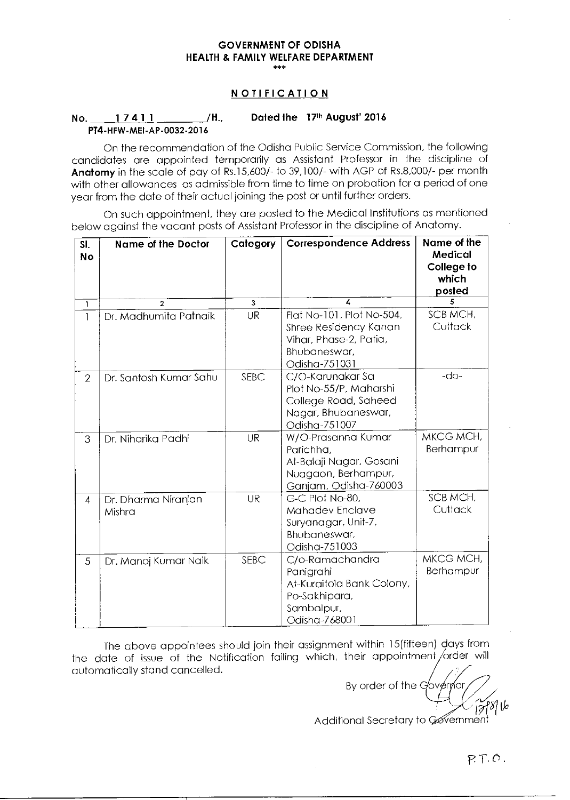### **NOTIFICATION**

# **No. 1 7 4 1 1 /H., Dated the 17"' August' 2016**

**PT4-HFW-MEI-AP-0032-2016** 

On the recommendation of the Odisha Public Service Commission, the following candidates are appointed temporarily as Assistant Professor in the discipline of **Anatomy** in the scale of pay of Rs.15,600/- to 39,100/- with AGP of Rs.8,000/- per month with other allowances as admissible from time to time on probation for a period of one year from the date of their actual joining the post or until further orders.

On such appointment, they are posted to the Medical Institutions as mentioned below against the vacant posts of Assistant Professor in the discipline of Anatomy.

| SI.<br><b>No</b> | <b>Name of the Doctor</b>     | Category     | <b>Correspondence Address</b>                                                                                 | Name of the<br>Medical<br>College to<br>which<br>posted |
|------------------|-------------------------------|--------------|---------------------------------------------------------------------------------------------------------------|---------------------------------------------------------|
| 1                | $\mathbf{2}$                  | $\mathbf{3}$ | 4                                                                                                             | 5                                                       |
| $\overline{1}$   | Dr. Madhumita Patnaik         | UR           | Flat No-101, Plot No-504,<br>Shree Residency Kanan<br>Vihar, Phase-2, Patia,<br>Bhubaneswar,<br>Odisha-751031 | SCB MCH,<br>Cuttack                                     |
| $\overline{2}$   | Dr. Santosh Kumar Sahu        | <b>SEBC</b>  | C/O-Karunakar Sa<br>Plot No-55/P, Maharshi<br>College Road, Saheed<br>Nagar, Bhubaneswar,<br>Odisha-751007    | $-dO-$                                                  |
| 3                | Dr. Niharika Padhi            | <b>UR</b>    | W/O-Prasanna Kumar<br>Parichha,<br>At-Balaji Nagar, Gosani<br>Nuagaon, Berhampur,<br>Ganjam, Odisha-760003    | MKCG MCH,<br>Berhampur                                  |
| $\overline{A}$   | Dr. Dharma Niranjan<br>Mishra | <b>UR</b>    | G-C Plot No-80,<br>Mahadev Enclave<br>Suryanagar, Unit-7,<br>Bhubaneswar,<br>Odisha-751003                    | SCB MCH,<br>Cuttack                                     |
| 5                | Dr. Manoj Kumar Naik          | <b>SEBC</b>  | C/o-Ramachandra<br>Panigrahi<br>At-Kuraitola Bank Colony,<br>Po-Sakhipara,<br>Sambalpur,<br>Odisha-768001     | MKCG MCH.<br>Berhampur                                  |

The above appointees should join their assignment within 15(fifteen) days from the date of issue of the Notification failing which, their appointment order will automatically stand cancelled.

By order of the Governor  $79811$ 

Additional Secretary to Government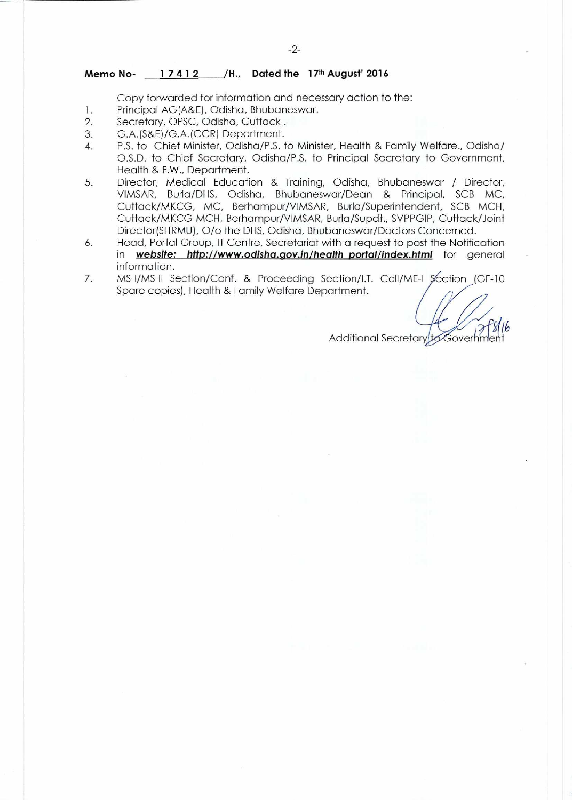## **Memo No- 1 7 4 1 2 /H., Dated the 1**7th **August' 2016**

Copy forwarded for information and necessary action to the:

- 1. Principal AG(A&E), Odisha, Bhubaneswar.
- 2. Secretary, OPSC, Odisha, Cuttack.
- 3. G.A.(S&E)/G.A.(CCR) Department.
- 4. P.S. to Chief Minister, Odisha/P.S. to Minister, Health & Family Welfare., Odisha/ O.S.D. to Chief Secretary, Odisha/P.S. to Principal Secretary to Government, Health & F.W., Department.
- 5. Director, Medical Education & Training, Odisha, Bhubaneswar / Director, VIMSAR, Burla/DHS, Odisha, Bhubaneswar/Dean & Principal, SCB MC, Cuttack/MKCG, MC, Berhampur/VIMSAR, Burla/Superintendent, SCB MCH, Cuttack/MKCG MCH, Berhampur/VIMSAR, Burla/Supdt., SVPPGIP, Cuttack/Joint Director(SHRMU), 0/o the DHS, Odisha, Bhubaneswar/Doctors Concerned.
- 6. Head, Portal Group, IT Centre, Secretariat with a request to post the Notification in **website: http://www.odisha.gov.in/health portal/index.html** for general information.
- 7. MS-I/MS-II Section/Conf. & Proceeding Section/I.T. Cell/ME-I Section (GF-10 Spare copies), Health & Family Welfare Department.

 $8116$ Additional Secretary to Government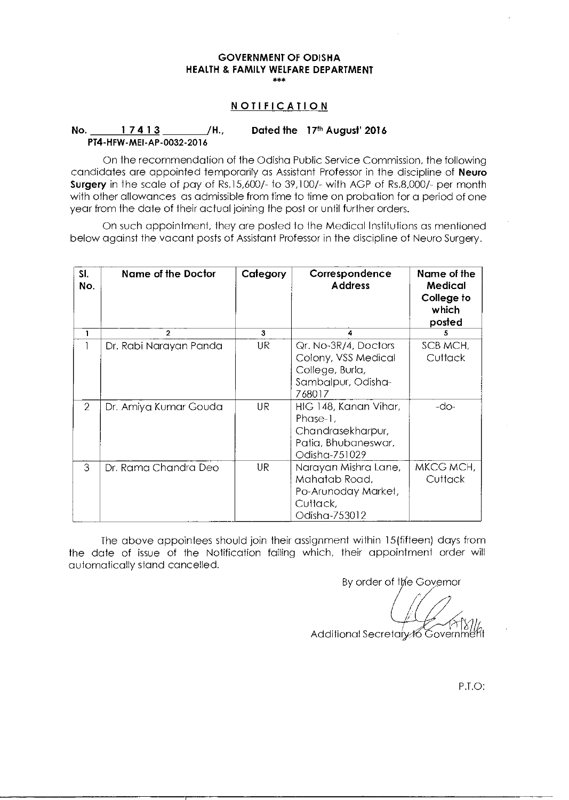#### NOTIFICATION

#### No. 1 7 4 1 3 /H., Dated the 17th August' 2016 PT4-HFW-MEI-AP-0032-2016

On the recommendation of the Odisha Public Service Commission, the following candidates are appointed temporarily as Assistant Professor in the discipline of Neuro Surgery in the scale of pay of Rs.15,600/- to 39,100/- with AGP of Rs.8,000/- per month with other allowances as admissible from time to time on probation for a period of one year from the date of their actual joining the post or until further orders.

On such appointment, they are posted to the Medical Institutions as mentioned below against the vacant posts of Assistant Professor in the discipline of Neuro Surgery.

| SI.<br>No.     | <b>Name of the Doctor</b> | Category | Correspondence<br><b>Address</b>                                                               | Name of the<br>Medical<br>College to<br>which<br>posted |
|----------------|---------------------------|----------|------------------------------------------------------------------------------------------------|---------------------------------------------------------|
| $\mathbf{1}$   | $\overline{2}$            | 3        | 4                                                                                              | 5                                                       |
|                | Dr. Rabi Narayan Panda    | UR       | Qr. No-3R/4, Doctors<br>Colony, VSS Medical<br>College, Burla,<br>Sambalpur, Odisha-<br>768017 | SCB MCH,<br>Cuttack                                     |
| $\overline{2}$ | Dr. Amiya Kumar Gouda     | UR       | HIG 148, Kanan Vihar,<br>Phase-1,<br>Chandrasekharpur,<br>Patia, Bhubaneswar,<br>Odisha-751029 | -do-                                                    |
| 3              | Dr. Rama Chandra Deo      | UR       | Narayan Mishra Lane,<br>Mahatab Road.<br>Po-Arunoday Market,<br>Cuttack,<br>Odisha-753012      | MKCG MCH,<br>Cuttack                                    |

The above appointees should join their assignment within 15/fifteen) days from the date of issue of the Notification failing which, their appointment order will automatically stand cancelled.

By order of the Governor

Additional Secretary 16 Government

P.T.0: